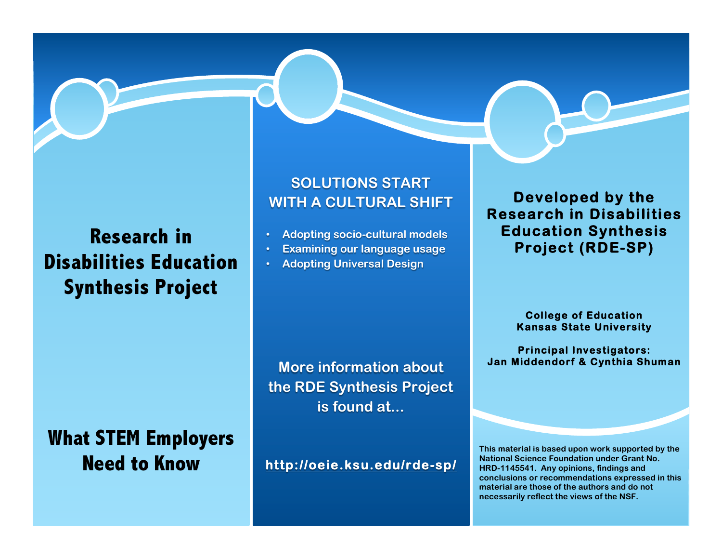#### **Research in Disabilities Education Synthesis Project**

### **What STEM Employers Need to Know**

#### **SOLUTIONS START WITH A CULTURAL SHIFT**

- **Adopting socio-cultural models**
- **Examining our language usage**
- **Adopting Universal Design**

**More information about the RDE Synthesis Project is found at...**

**http://oeie.ksu.edu/rde-sp/** 

#### **Developed by the Research in Disabilities Education Synthesis Project (RDE-SP)**

**College of Education Kansas State University** 

**Principal Investigators: Jan Middendorf & Cynthia Shuman** 

**This material is based upon work supported by the National Science Foundation under Grant No. HRD-1145541. Any opinions, findings and conclusions or recommendations expressed in this material are those of the authors and do not necessarily reflect the views of the NSF.**